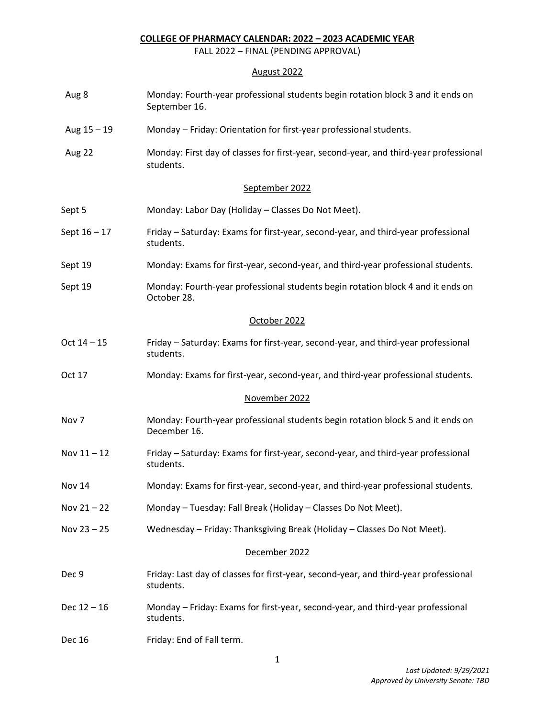## **COLLEGE OF PHARMACY CALENDAR: 2022 – 2023 ACADEMIC YEAR**

FALL 2022 – FINAL (PENDING APPROVAL)

## August 2022

| Aug 8          | Monday: Fourth-year professional students begin rotation block 3 and it ends on<br>September 16.   |
|----------------|----------------------------------------------------------------------------------------------------|
| Aug 15 - 19    | Monday - Friday: Orientation for first-year professional students.                                 |
| Aug 22         | Monday: First day of classes for first-year, second-year, and third-year professional<br>students. |
|                | September 2022                                                                                     |
| Sept 5         | Monday: Labor Day (Holiday - Classes Do Not Meet).                                                 |
| Sept $16 - 17$ | Friday - Saturday: Exams for first-year, second-year, and third-year professional<br>students.     |
| Sept 19        | Monday: Exams for first-year, second-year, and third-year professional students.                   |
| Sept 19        | Monday: Fourth-year professional students begin rotation block 4 and it ends on<br>October 28.     |
|                | October 2022                                                                                       |
| $Oct 14 - 15$  | Friday - Saturday: Exams for first-year, second-year, and third-year professional<br>students.     |
| Oct 17         | Monday: Exams for first-year, second-year, and third-year professional students.                   |
|                | November 2022                                                                                      |
| Nov 7          | Monday: Fourth-year professional students begin rotation block 5 and it ends on<br>December 16.    |
| Nov $11 - 12$  | Friday - Saturday: Exams for first-year, second-year, and third-year professional<br>students.     |
| <b>Nov 14</b>  | Monday: Exams for first-year, second-year, and third-year professional students.                   |
| Nov $21 - 22$  | Monday - Tuesday: Fall Break (Holiday - Classes Do Not Meet).                                      |
| Nov $23 - 25$  | Wednesday - Friday: Thanksgiving Break (Holiday - Classes Do Not Meet).                            |
|                | December 2022                                                                                      |
| Dec 9          | Friday: Last day of classes for first-year, second-year, and third-year professional<br>students.  |
| $Dec 12 - 16$  | Monday - Friday: Exams for first-year, second-year, and third-year professional<br>students.       |
| <b>Dec 16</b>  | Friday: End of Fall term.                                                                          |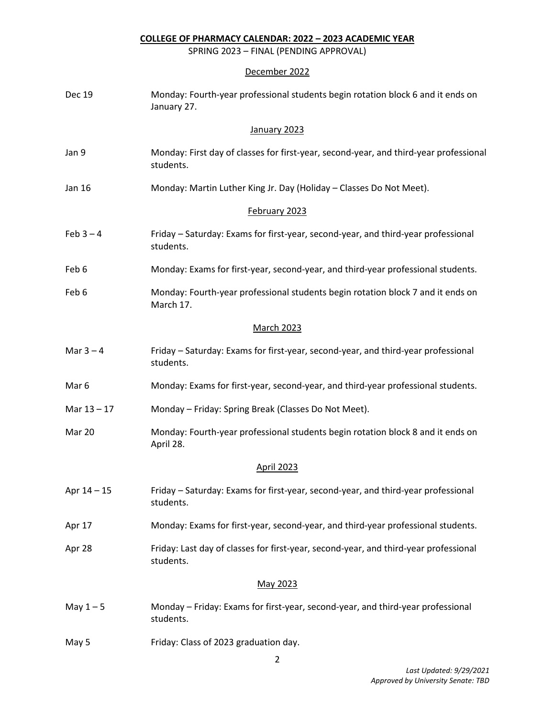**COLLEGE OF PHARMACY CALENDAR: 2022 – 2023 ACADEMIC YEAR**

SPRING 2023 – FINAL (PENDING APPROVAL)

## December 2022

| <b>Dec 19</b>    | Monday: Fourth-year professional students begin rotation block 6 and it ends on<br>January 27.     |
|------------------|----------------------------------------------------------------------------------------------------|
|                  | January 2023                                                                                       |
| Jan 9            | Monday: First day of classes for first-year, second-year, and third-year professional<br>students. |
| Jan 16           | Monday: Martin Luther King Jr. Day (Holiday - Classes Do Not Meet).                                |
|                  | February 2023                                                                                      |
| Feb $3 - 4$      | Friday – Saturday: Exams for first-year, second-year, and third-year professional<br>students.     |
| Feb 6            | Monday: Exams for first-year, second-year, and third-year professional students.                   |
| Feb 6            | Monday: Fourth-year professional students begin rotation block 7 and it ends on<br>March 17.       |
|                  | <b>March 2023</b>                                                                                  |
| Mar $3 - 4$      | Friday - Saturday: Exams for first-year, second-year, and third-year professional<br>students.     |
| Mar <sub>6</sub> | Monday: Exams for first-year, second-year, and third-year professional students.                   |
| Mar $13 - 17$    | Monday - Friday: Spring Break (Classes Do Not Meet).                                               |
| Mar 20           | Monday: Fourth-year professional students begin rotation block 8 and it ends on<br>April 28.       |
|                  | <b>April 2023</b>                                                                                  |
| Apr $14 - 15$    | Friday – Saturday: Exams for first-year, second-year, and third-year professional<br>students.     |
| Apr 17           | Monday: Exams for first-year, second-year, and third-year professional students.                   |
| Apr 28           | Friday: Last day of classes for first-year, second-year, and third-year professional<br>students.  |
|                  | May 2023                                                                                           |
| May $1 - 5$      | Monday - Friday: Exams for first-year, second-year, and third-year professional<br>students.       |
| May 5            | Friday: Class of 2023 graduation day.                                                              |